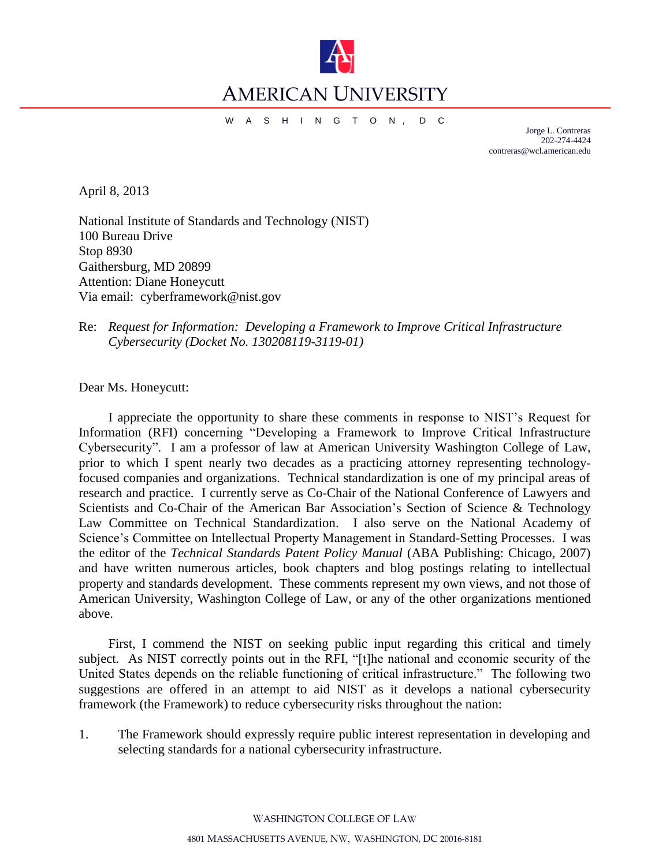

## AMERICAN UNIVERSITY

W A S H I N G T O N , D C

Jorge L. Contreras 202-274-4424 contreras@wcl.american.edu

April 8, 2013

 National Institute of Standards and Technology (NIST) **Attention: Diane Honeycutt** Attention: Diane Honeycutt<br>Via email: cyberframework@nist.gov 100 Bureau Drive Stop 8930 Gaithersburg, MD 20899

Re: *Request for Information: Developing a Framework to Improve Critical Infrastructure Cybersecurity (Docket No. 130208119-3119-01)* 

Dear Ms. Honeycutt:

 I appreciate the opportunity to share these comments in response to NIST's Request for Information (RFI) concerning "Developing a Framework to Improve Critical Infrastructure Cybersecurity". I am a professor of law at American University Washington College of Law, prior to which I spent nearly two decades as a practicing attorney representing technology- focused companies and organizations. Technical standardization is one of my principal areas of research and practice. I currently serve as Co-Chair of the National Conference of Lawyers and Scientists and Co-Chair of the American Bar Association's Section of Science & Technology Law Committee on Technical Standardization. I also serve on the National Academy of Science's Committee on Intellectual Property Management in Standard-Setting Processes. I was the editor of the *Technical Standards Patent Policy Manual* (ABA Publishing: Chicago, 2007) American University, Washington College of Law, or any of the other organizations mentioned and have written numerous articles, book chapters and blog postings relating to intellectual property and standards development. These comments represent my own views, and not those of above.

 First, I commend the NIST on seeking public input regarding this critical and timely subject. As NIST correctly points out in the RFI, "[t]he national and economic security of the United States depends on the reliable functioning of critical infrastructure." The following two suggestions are offered in an attempt to aid NIST as it develops a national cybersecurity framework (the Framework) to reduce cybersecurity risks throughout the nation:

 $1<sup>1</sup>$ The Framework should expressly require public interest representation in developing and selecting standards for a national cybersecurity infrastructure.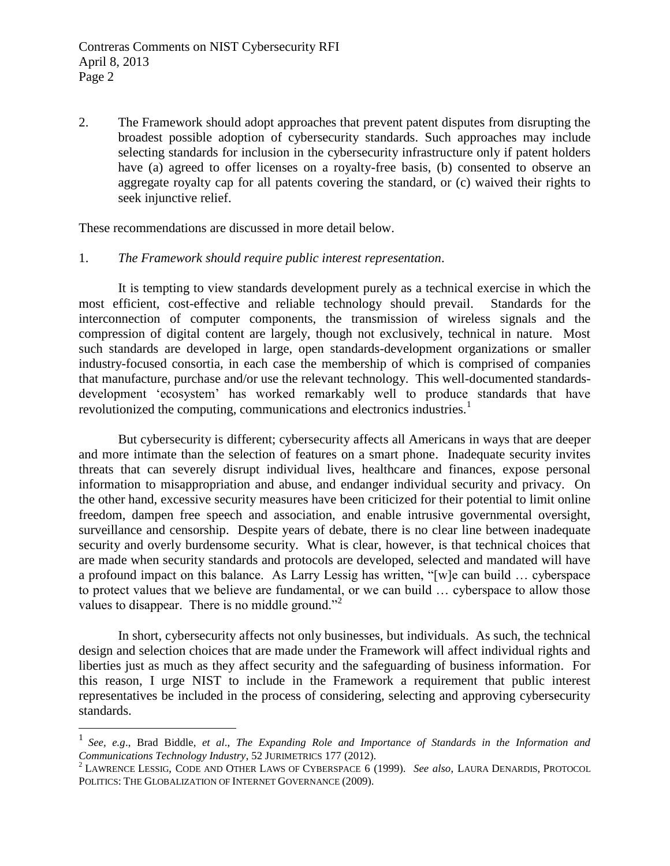$\overline{2}$ . selecting standards for inclusion in the cybersecurity infrastructure only if patent holders have (a) agreed to offer licenses on a royalty-free basis, (b) consented to observe an aggregate royalty cap for all patents covering the standard, or (c) waived their rights to The Framework should adopt approaches that prevent patent disputes from disrupting the broadest possible adoption of cybersecurity standards. Such approaches may include seek injunctive relief.

These recommendations are discussed in more detail below.

 $\overline{a}$ 

## The Framework should require public interest representation.

1. *The Framework should require public interest representation*.<br>It is tempting to view standards development purely as a technical exercise in which the Standards for the interconnection of computer components, the transmission of wireless signals and the compression of digital content are largely, though not exclusively, technical in nature. Most such standards are developed in large, open standards-development organizations or smaller industry-focused consortia, in each case the membership of which is comprised of companies that manufacture, purchase and/or use the relevant technology. This well-documented standards- development 'ecosystem' has worked remarkably well to produce standards that have revolutionized the computing, communications and electronics industries.<sup>1</sup> most efficient, cost-effective and reliable technology should prevail.

 But cybersecurity is different; cybersecurity affects all Americans in ways that are deeper and more intimate than the selection of features on a smart phone. Inadequate security invites threats that can severely disrupt individual lives, healthcare and finances, expose personal information to misappropriation and abuse, and endanger individual security and privacy. On the other hand, excessive security measures have been criticized for their potential to limit online freedom, dampen free speech and association, and enable intrusive governmental oversight, surveillance and censorship. Despite years of debate, there is no clear line between inadequate security and overly burdensome security. What is clear, however, is that technical choices that are made when security standards and protocols are developed, selected and mandated will have a profound impact on this balance. As Larry Lessig has written, "[w]e can build … cyberspace to protect values that we believe are fundamental, or we can build … cyberspace to allow those values to disappear. There is no middle ground. $^{2}$ 

 In short, cybersecurity affects not only businesses, but individuals. As such, the technical design and selection choices that are made under the Framework will affect individual rights and liberties just as much as they affect security and the safeguarding of business information. For this reason, I urge NIST to include in the Framework a requirement that public interest representatives be included in the process of considering, selecting and approving cybersecurity standards.

<sup>&</sup>lt;sup>1</sup> See, e.g., Brad Biddle, et al., *The Expanding Role and Importance of Standards in the Information and Communications Technology Industry*, 52 JURIMETRICS 177 (2012). 2 LAWRENCE LESSIG, CODE AND OTHER LAWS OF CYBERSPACE 6 (1999). *See also*, LAURA DENARDIS, PROTOCOL

 POLITICS: THE GLOBALIZATION OF INTERNET GOVERNANCE (2009).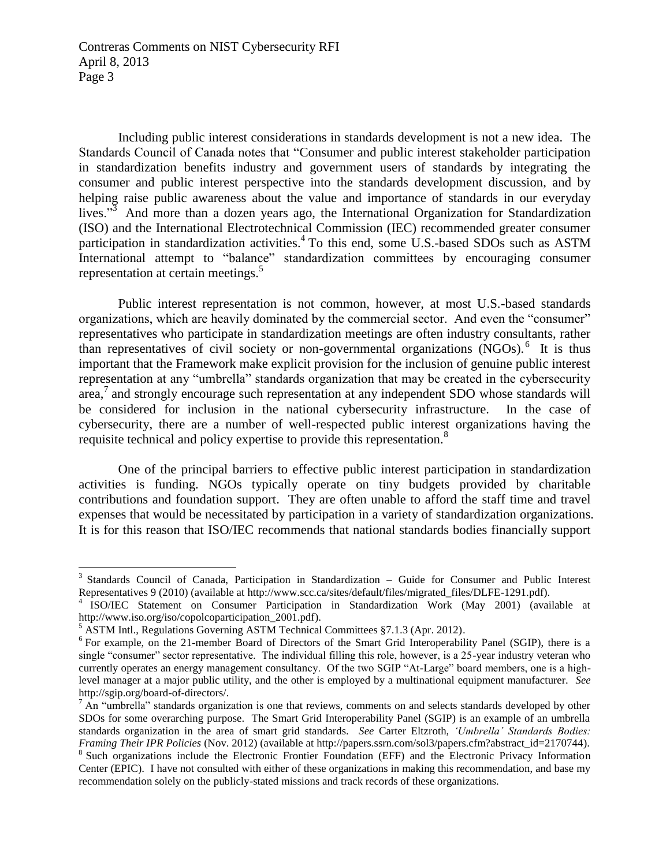Page 3 Contreras Comments on NIST Cybersecurity RFI April 8, 2013

 Including public interest considerations in standards development is not a new idea. The Standards Council of Canada notes that "Consumer and public interest stakeholder participation in standardization benefits industry and government users of standards by integrating the consumer and public interest perspective into the standards development discussion, and by helping raise public awareness about the value and importance of standards in our everyday lives."<sup>3</sup> And more than a dozen years ago, the International Organization for Standardization (ISO) and the International Electrotechnical Commission (IEC) recommended greater consumer International attempt to "balance" standardization committees by encouraging consumer participation in standardization activities.4 To this end, some U.S.-based SDOs such as ASTM representation at certain meetings.<sup>5</sup>

<span id="page-2-0"></span> organizations, which are heavily dominated by the commercial sector. And even the "consumer" representatives who participate in standardization meetings are often industry consultants, rather than representatives of civil society or non-governmental organizations (NGOs).<sup>6</sup> It is thus important that the Framework make explicit provision for the inclusion of genuine public interest representation at any "umbrella" standards organization that may be created in the cybersecurity  $\arctan^7$  and strongly encourage such representation at any independent SDO whose standards will be considered for inclusion in the national cybersecurity infrastructure. In the case of cybersecurity, there are a number of well-respected public interest organizations having the Public interest representation is not common, however, at most U.S.-based standards requisite technical and policy expertise to provide this representation.<sup>8</sup>

 activities is funding. NGOs typically operate on tiny budgets provided by charitable contributions and foundation support. They are often unable to afford the staff time and travel expenses that would be necessitated by participation in a variety of standardization organizations. One of the principal barriers to effective public interest participation in standardization It is for this reason that ISO/IEC recommends that national standards bodies financially support

 $\overline{a}$ 

<sup>&</sup>lt;sup>3</sup> Standards Council of Canada, Participation in Standardization – Guide for Consumer and Public Interest Representatives 9 (2010) (available at http://www.scc.ca/sites/default/files/migrated\_files/DLFE-1291.pdf).

<sup>&</sup>lt;sup>4</sup> ISO/IEC Statement on Consumer Participation in Standardization Work (May 2001) (available at http://www.iso.org/iso/copolcoparticipation\_2001.pdf).<br><sup>5</sup> ASTM Intl., Regulations Governing ASTM Technical Committees §7.1.3 (Apr. 2012).

<sup>&</sup>lt;sup>6</sup> For example, on the 21-member Board of Directors of the Smart Grid Interoperability Panel (SGIP), there is a single "consumer" sector representative. The individual filling this role, however, is a 25-year industry veteran who currently operates an energy management consultancy. Of the two SGIP "At-Large" board members, one is a high-level manager at a major public utility, and the other is employed by a multinational equipment manufacturer. *See* 

http://sgip.org/board-of-directors/.<br><sup>7</sup> An "umbrella" standards organization is one that reviews, comments on and selects standards developed by other SDOs for some overarching purpose. The Smart Grid Interoperability Panel (SGIP) is an example of an umbrella standards organization in the area of smart grid standards. *See* Carter Eltzroth, *'Umbrella' Standards Bodies: Framing Their IPR Policies* (Nov. 2012) (available at http://papers.ssrn.com/sol3/papers.cfm?abstract id=2170744). *Framing Their IPR Policies* (Nov. 2012) (available at http://papers.ssrn.com/sol3/papers.cfm?abstract\_id=2170744).<br><sup>8</sup> Such organizations include the Electronic Frontier Foundation (EFF) and the Electronic Privacy Informa

 Center (EPIC). I have not consulted with either of these organizations in making this recommendation, and base my recommendation solely on the publicly-stated missions and track records of these organizations.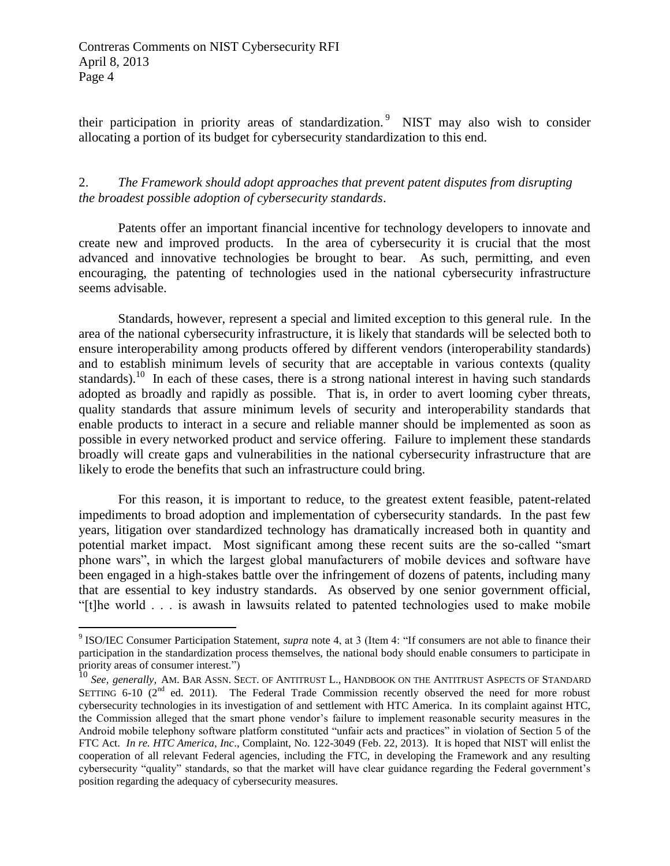$\overline{a}$ 

their participation in priority areas of standardization.<sup>9</sup> NIST may also wish to consider allocating a portion of its budget for cybersecurity standardization to this end.

2. *The Framework should adopt approaches that prevent patent disputes from disrupting the broadest possible adoption of cybersecurity standards*.

 Patents offer an important financial incentive for technology developers to innovate and create new and improved products. In the area of cybersecurity it is crucial that the most advanced and innovative technologies be brought to bear. As such, permitting, and even encouraging, the patenting of technologies used in the national cybersecurity infrastructure seems advisable.

<span id="page-3-0"></span> Standards, however, represent a special and limited exception to this general rule. In the area of the national cybersecurity infrastructure, it is likely that standards will be selected both to ensure interoperability among products offered by different vendors (interoperability standards) and to establish minimum levels of security that are acceptable in various contexts (quality standards).<sup>10</sup> In each of these cases, there is a strong national interest in having such standards adopted as broadly and rapidly as possible. That is, in order to avert looming cyber threats, enable products to interact in a secure and reliable manner should be implemented as soon as possible in every networked product and service offering. Failure to implement these standards broadly will create gaps and vulnerabilities in the national cybersecurity infrastructure that are quality standards that assure minimum levels of security and interoperability standards that likely to erode the benefits that such an infrastructure could bring.

 impediments to broad adoption and implementation of cybersecurity standards. In the past few years, litigation over standardized technology has dramatically increased both in quantity and potential market impact. Most significant among these recent suits are the so-called "smart phone wars", in which the largest global manufacturers of mobile devices and software have been engaged in a high-stakes battle over the infringement of dozens of patents, including many that are essential to key industry standards. As observed by one senior government official, For this reason, it is important to reduce, to the greatest extent feasible, patent-related "[t]he world . . . is awash in lawsuits related to patented technologies used to make mobile

 9 ISO/IEC Consumer Participation Statement, *supra* note [4,](#page-2-0) at 3 (Item 4: "If consumers are not able to finance their participation in the standardization process themselves, the national body should enable consumers to participate in priority areas of consumer interest.")

SETTING 6-10  $(2^{nd}$  ed. 2011). The Federal Trade Commission recently observed the need for more robust cybersecurity technologies in its investigation of and settlement with HTC America. In its complaint against HTC, the Commission alleged that the smart phone vendor's failure to implement reasonable security measures in the Android mobile telephony software platform constituted "unfair acts and practices" in violation of Section 5 of the FTC Act. *In re. HTC America, Inc*., Complaint, No. 122-3049 (Feb. 22, 2013). It is hoped that NIST will enlist the cooperation of all relevant Federal agencies, including the FTC, in developing the Framework and any resulting cybersecurity "quality" standards, so that the market will have clear guidance regarding the Federal government's position regarding the adequacy of cybersecurity measures. 10 *See, generally, AM. BAR ASSN. SECT. OF ANTITRUST L., HANDBOOK ON THE ANTITRUST ASPECTS OF STANDARD*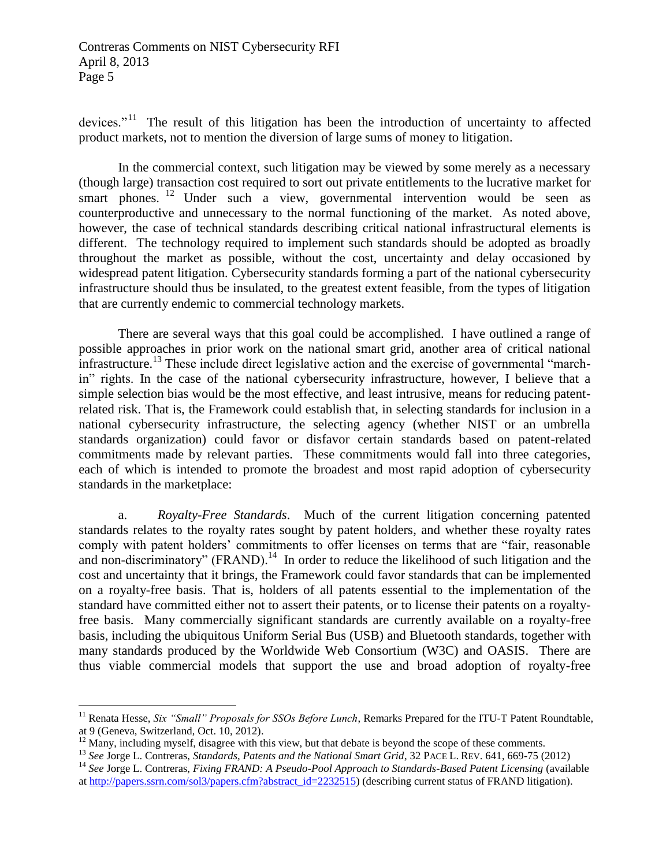devices."<sup>11</sup> The result of this litigation has been the introduction of uncertainty to affected product markets, not to mention the diversion of large sums of money to litigation.

smart phones. <sup>12</sup> Under such a view, governmental intervention would be seen as counterproductive and unnecessary to the normal functioning of the market. As noted above, however, the case of technical standards describing critical national infrastructural elements is different. The technology required to implement such standards should be adopted as broadly throughout the market as possible, without the cost, uncertainty and delay occasioned by widespread patent litigation. Cybersecurity standards forming a part of the national cybersecurity infrastructure should thus be insulated, to the greatest extent feasible, from the types of litigation In the commercial context, such litigation may be viewed by some merely as a necessary (though large) transaction cost required to sort out private entitlements to the lucrative market for that are currently endemic to commercial technology markets.

 There are several ways that this goal could be accomplished. I have outlined a range of possible approaches in prior work on the national smart grid, another area of critical national infrastructure.<sup>13</sup> These include direct legislative action and the exercise of governmental "march- in" rights. In the case of the national cybersecurity infrastructure, however, I believe that a simple selection bias would be the most effective, and least intrusive, means for reducing patent- national cybersecurity infrastructure, the selecting agency (whether NIST or an umbrella standards organization) could favor or disfavor certain standards based on patent-related commitments made by relevant parties. These commitments would fall into three categories, each of which is intended to promote the broadest and most rapid adoption of cybersecurity related risk. That is, the Framework could establish that, in selecting standards for inclusion in a standards in the marketplace:

<span id="page-4-0"></span> standards relates to the royalty rates sought by patent holders, and whether these royalty rates comply with patent holders' commitments to offer licenses on terms that are "fair, reasonable and non-discriminatory"  $(FRAND)$ .<sup>14</sup> In order to reduce the likelihood of such litigation and the cost and uncertainty that it brings, the Framework could favor standards that can be implemented on a royalty-free basis. That is, holders of all patents essential to the implementation of the standard have committed either not to assert their patents, or to license their patents on a royalty- free basis. Many commercially significant standards are currently available on a royalty-free many standards produced by the Worldwide Web Consortium (W3C) and OASIS. There are a. *Royalty-Free Standards*. Much of the current litigation concerning patented basis, including the ubiquitous Uniform Serial Bus (USB) and Bluetooth standards, together with thus viable commercial models that support the use and broad adoption of royalty-free

 $\overline{a}$ 

 at 9 (Geneva, Switzerland, Oct. 10, 2012). <sup>11</sup> Renata Hesse, *Six "Small" Proposals for SSOs Before Lunch*, Remarks Prepared for the ITU-T Patent Roundtable,

at 9 (Geneva, Switzerland, Oct. 10, 2012).<br><sup>12</sup> Many, including myself, disagree with this view, but that debate is beyond the scope of these comments.

<sup>&</sup>lt;sup>12</sup> Many, including myself, disagree with this view, but that debate is beyond the scope of these comments.<br><sup>13</sup> See Jorge L. Contreras, *Standards, Patents and the National Smart Grid*, 32 PACE L. REV. 641, 669-75 (2012)

<sup>&</sup>lt;sup>13</sup> See Jorge L. Contreras, *Standards, Patents and the National Smart Grid*, 32 PACE L. REV. 641, 669-75 (2012)<br><sup>14</sup> See Jorge L. Contreras, *Fixing FRAND: A Pseudo-Pool Approach to Standards-Based Patent Licensing (avai* a[t http://papers.ssrn.com/sol3/papers.cfm?abstract\\_id=2232515\)](http://papers.ssrn.com/sol3/papers.cfm?abstract_id=2232515) (describing current status of FRAND litigation).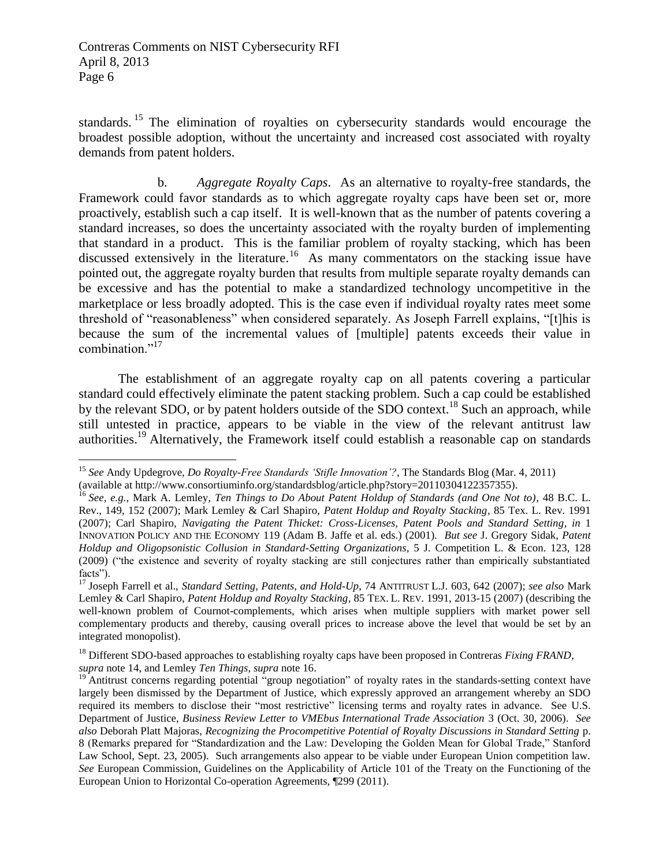standards. <sup>15</sup> The elimination of royalties on cybersecurity standards would encourage the broadest possible adoption, without the uncertainty and increased cost associated with royalty demands from patent holders.

<span id="page-5-0"></span> Framework could favor standards as to which aggregate royalty caps have been set or, more proactively, establish such a cap itself. It is well-known that as the number of patents covering a standard increases, so does the uncertainty associated with the royalty burden of implementing that standard in a product. This is the familiar problem of royalty stacking, which has been discussed extensively in the literature.<sup>16</sup> As many commentators on the stacking issue have pointed out, the aggregate royalty burden that results from multiple separate royalty demands can be excessive and has the potential to make a standardized technology uncompetitive in the marketplace or less broadly adopted. This is the case even if individual royalty rates meet some threshold of "reasonableness" when considered separately. As Joseph Farrell explains, "[t]his is because the sum of the incremental values of [multiple] patents exceeds their value in b. *Aggregate Royalty Caps*. As an alternative to royalty-free standards, the combination."<sup>17</sup>

<span id="page-5-1"></span> The establishment of an aggregate royalty cap on all patents covering a particular standard could effectively eliminate the patent stacking problem. Such a cap could be established by the relevant SDO, or by patent holders outside of the SDO context.<sup>18</sup> Such an approach, while still untested in practice, appears to be viable in the view of the relevant antitrust law authorities.<sup>19</sup> Alternatively, the Framework itself could establish a reasonable cap on standards

 $\overline{a}$ <sup>15</sup>*See* Andy Updegrove, *Do Royalty-Free Standards 'Stifle Innovation'?*, The Standards Blog (Mar. 4, 2011)

 (available at http://www.consortiuminfo.org/standardsblog/article.php?story=20110304122357355). 16 *See, e.g.,* Mark A. Lemley*, Ten Things to Do About Patent Holdup of Standards (and One Not to),* 48 B.C. L.

 Rev., 149, 152 (2007); Mark Lemley & Carl Shapiro, *Patent Holdup and Royalty Stacking,* 85 Tex. L. Rev. 1991 (2007); Carl Shapiro, *Navigating the Patent Thicket: Cross-Licenses, Patent Pools and Standard Setting, in 1*  INNOVATION POLICY AND THE ECONOMY 119 (Adam B. Jaffe et al. eds.) (2001). *But see* J. Gregory Sidak*, Patent Holdup and Oligopsonistic Collusion in Standard-Setting Organizations,* 5 J. Competition L. & Econ. 123, 128 (2009) ("the existence and severity of royalty stacking are still conjectures rather than empirically substantiated facts").

 17 Joseph Farrell et al., *Standard Setting, Patents, and Hold-Up*, 74 ANTITRUST L.J. 603, 642 (2007); *see also* Mark Lemley & Carl Shapiro, *Patent Holdup and Royalty Stacking*, 85 TEX. L. REV. 1991, 2013-15 (2007) (describing the well-known problem of Cournot-complements, which arises when multiple suppliers with market power sell complementary products and thereby, causing overall prices to increase above the level that would be set by an integrated monopolist).

<sup>&</sup>lt;sup>18</sup> Different SDO-based approaches to establishing royalty caps have been proposed in Contreras *Fixing FRAND*, supra note 14, and Lemley Ten Things, supra note 16. *supra* note 14, and Lemley *Ten Things*, *supra* not[e 16.](#page-5-0)<br><sup>19</sup> Antitrust concerns regarding potential "group negotiation" of royalty rates in the standards-setting context have

 largely been dismissed by the Department of Justice, which expressly approved an arrangement whereby an SDO required its members to disclose their "most restrictive" licensing terms and royalty rates in advance. See U.S. Department of Justice, *Business Review Letter to VMEbus International Trade Association* 3 (Oct. 30, 2006). *See also* Deborah Platt Majoras, *Recognizing the Procompetitive Potential of Royalty Discussions in Standard Setting* p. 8 (Remarks prepared for "Standardization and the Law: Developing the Golden Mean for Global Trade," Stanford Law School, Sept. 23, 2005). Such arrangements also appear to be viable under European Union competition law. *See* European Commission, Guidelines on the Applicability of Article 101 of the Treaty on the Functioning of the European Union to Horizontal Co-operation Agreements, ¶299 (2011).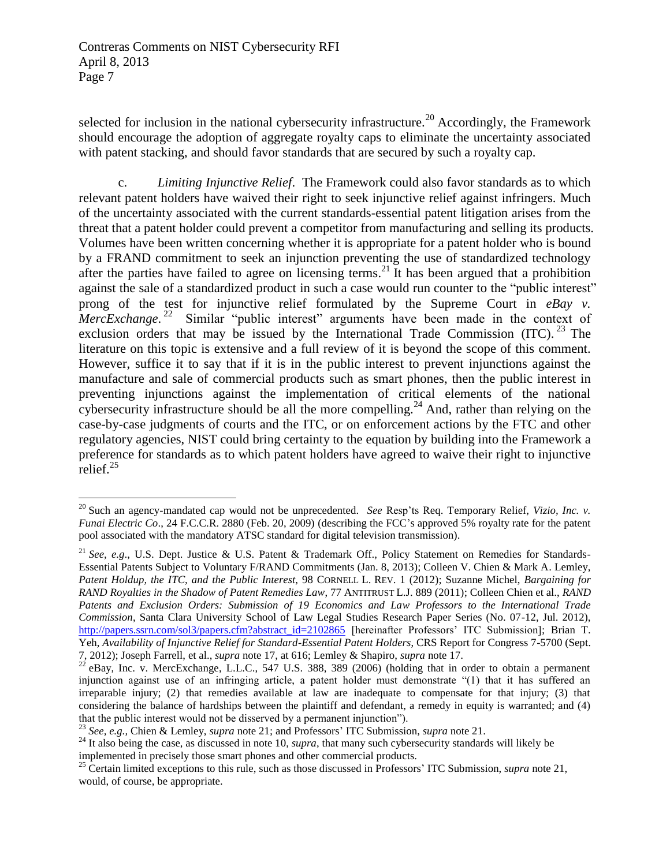Page 7 Contreras Comments on NIST Cybersecurity RFI April 8, 2013

 $\overline{a}$ 

 should encourage the adoption of aggregate royalty caps to eliminate the uncertainty associated with patent stacking, and should favor standards that are secured by such a royalty cap. selected for inclusion in the national cybersecurity infrastructure.<sup>20</sup> Accordingly, the Framework

<span id="page-6-0"></span> c. *Limiting Injunctive Relief*. The Framework could also favor standards as to which relevant patent holders have waived their right to seek injunctive relief against infringers. Much Volumes have been written concerning whether it is appropriate for a patent holder who is bound by a FRAND commitment to seek an injunction preventing the use of standardized technology after the parties have failed to agree on licensing terms.<sup>21</sup> It has been argued that a prohibition against the sale of a standardized product in such a case would run counter to the "public interest" prong of the test for injunctive relief formulated by the Supreme Court in *eBay v. MercExchange*.<sup>22</sup> Similar "public interest" arguments have been made in the context of exclusion orders that may be issued by the International Trade Commission  $(ITC)$ .<sup>23</sup> The literature on this topic is extensive and a full review of it is beyond the scope of this comment. However, suffice it to say that if it is in the public interest to prevent injunctions against the manufacture and sale of commercial products such as smart phones, then the public interest in cybersecurity infrastructure should be all the more compelling.<sup>24</sup> And, rather than relying on the case-by-case judgments of courts and the ITC, or on enforcement actions by the FTC and other regulatory agencies, NIST could bring certainty to the equation by building into the Framework a preference for standards as to which patent holders have agreed to waive their right to injunctive of the uncertainty associated with the current standards-essential patent litigation arises from the threat that a patent holder could prevent a competitor from manufacturing and selling its products. preventing injunctions against the implementation of critical elements of the national relief. $25$ 

 20 Such an agency-mandated cap would not be unprecedented. *See* Resp'ts Req. Temporary Relief, *Vizio, Inc. v. Funai Electric Co*., 24 F.C.C.R. 2880 (Feb. 20, 2009) (describing the FCC's approved 5% royalty rate for the patent pool associated with the mandatory ATSC standard for digital television transmission).

 <sup>21</sup>*See, e.g*., U.S. Dept. Justice & U.S. Patent & Trademark Off., Policy Statement on Remedies for Standards- Essential Patents Subject to Voluntary F/RAND Commitments (Jan. 8, 2013); Colleen V. Chien & Mark A. Lemley,  *Patent Holdup, the ITC, and the Public Interest*, 98 CORNELL L. REV. 1 (2012); Suzanne Michel, *Bargaining for RAND Royalties in the Shadow of Patent Remedies Law*, 77 ANTITRUST L.J. 889 (2011); Colleen Chien et al., *RAND Patents and Exclusion Orders: Submission of 19 Economics and Law Professors to the International Trade Commission*, Santa Clara University School of Law Legal Studies Research Paper Series (No. 07-12, Jul. 2012), [http://papers.ssrn.com/sol3/papers.cfm?abstract\\_id=2102865](http://papers.ssrn.com/sol3/papers.cfm?abstract_id=2102865) [hereinafter Professors' ITC Submission]; Brian T.  Yeh, *Availability of Injunctive Relief for Standard-Essential Patent Holders*, CRS Report for Congress 7-5700 (Sept. 7, 2012); Joseph Farrell, et al., *supra* note 17, at 616; Lemley & Shapiro, *supra* note 17.

<sup>7, 2012);</sup> Joseph Farrell, et al., *supra* note 17, at 616; Lemley & Shapiro, *supra* note [17.](#page-5-1)<br><sup>22</sup> eBay, Inc. v. MercExchange, L.L.C., 547 U.S. 388, 389 (2006) (holding that in order to obtain a permanent injunction against use of an infringing article, a patent holder must demonstrate "(1) that it has suffered an irreparable injury; (2) that remedies available at law are inadequate to compensate for that injury; (3) that considering the balance of hardships between the plaintiff and defendant, a remedy in equity is warranted; and (4) that the public interest would not be disserved by a permanent injunction").

 <sup>23</sup>*See, e.g.,* Chien & Lemley, *supra* not[e 21;](#page-6-0) and Professors' ITC Submission, *supra* note [21.](#page-6-0)

<sup>&</sup>lt;sup>25</sup> See, e.g., Chien & Lemley, *supra* note 21; and Professors' ITC Submission, *supra* note 21.<br><sup>24</sup> It also being the case, as discussed in note [10,](#page-3-0) *supra*, that many such cybersecurity standards will likely be implemented in precisely those smart phones and other commercial products. 25 Certain limited exceptions to this rule, such as those discussed in Professors' ITC Submission, *supra* note [21,](#page-6-0)

 would, of course, be appropriate.